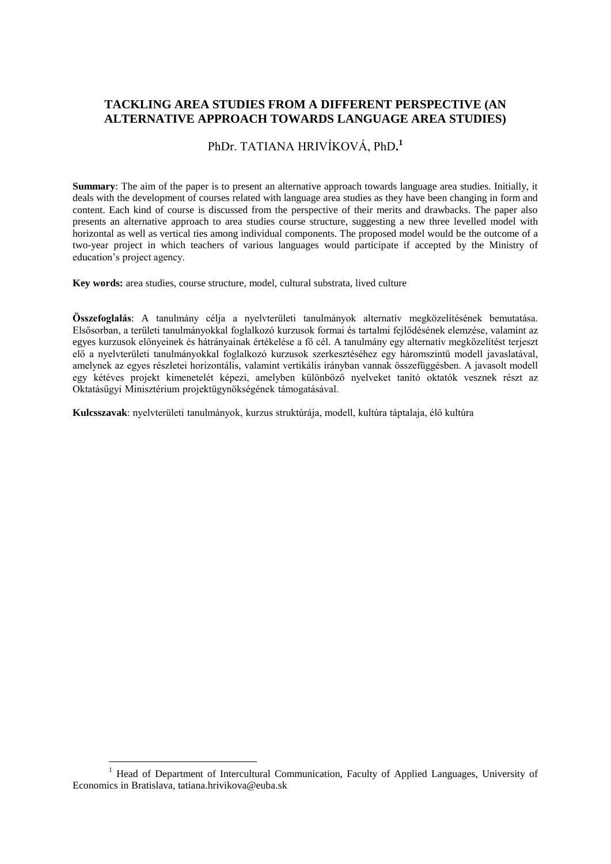# **TACKLING AREA STUDIES FROM A DIFFERENT PERSPECTIVE (AN ALTERNATIVE APPROACH TOWARDS LANGUAGE AREA STUDIES)**

# PhDr. TATIANA HRIVÍKOVÁ, PhD**. 1**

**Summary**: The aim of the paper is to present an alternative approach towards language area studies. Initially, it deals with the development of courses related with language area studies as they have been changing in form and content. Each kind of course is discussed from the perspective of their merits and drawbacks. The paper also presents an alternative approach to area studies course structure, suggesting a new three levelled model with horizontal as well as vertical ties among individual components. The proposed model would be the outcome of a two-year project in which teachers of various languages would participate if accepted by the Ministry of education's project agency.

**Key words:** area studies, course structure, model, cultural substrata, lived culture

**Összefoglalás**: A tanulmány célja a nyelvterületi tanulmányok alternatív megközelítésének bemutatása. Elsősorban, a területi tanulmányokkal foglalkozó kurzusok formai és tartalmi fejlődésének elemzése, valamint az egyes kurzusok előnyeinek és hátrányainak értékelése a fő cél. A tanulmány egy alternatív megközelítést terjeszt elő a nyelvterületi tanulmányokkal foglalkozó kurzusok szerkesztéséhez egy háromszintű modell javaslatával, amelynek az egyes részletei horizontális, valamint vertikális irányban vannak összefüggésben. A javasolt modell egy kétéves projekt kimenetelét képezi, amelyben különböző nyelveket tanító oktatók vesznek részt az Oktatásügyi Minisztérium projektügynökségének támogatásával.

**Kulcsszavak**: nyelvterületi tanulmányok, kurzus struktúrája, modell, kultúra táptalaja, élő kultúra

 $\overline{a}$ 

<sup>1</sup> Head of Department of Intercultural Communication, Faculty of Applied Languages, University of Economics in Bratislava, tatiana.hrivikova@euba.sk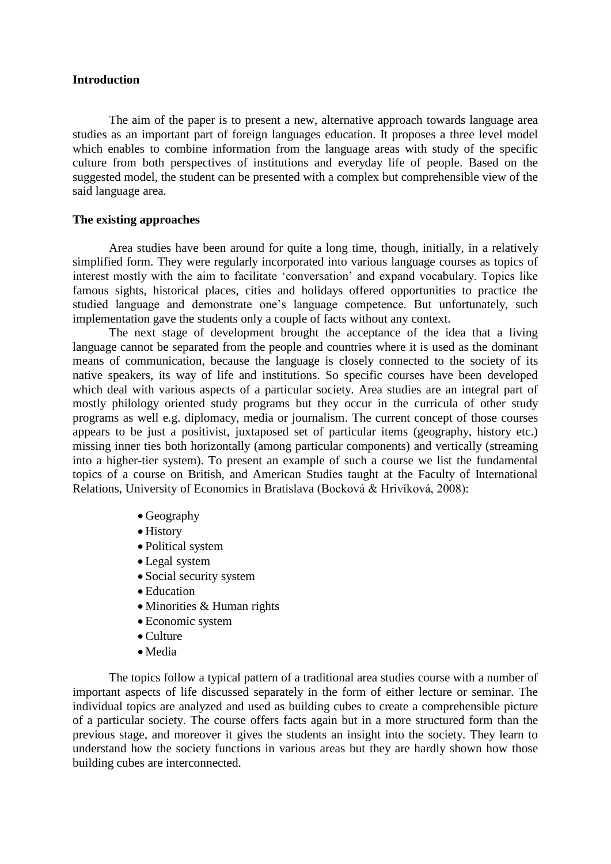## **Introduction**

The aim of the paper is to present a new, alternative approach towards language area studies as an important part of foreign languages education. It proposes a three level model which enables to combine information from the language areas with study of the specific culture from both perspectives of institutions and everyday life of people. Based on the suggested model, the student can be presented with a complex but comprehensible view of the said language area.

## **The existing approaches**

Area studies have been around for quite a long time, though, initially, in a relatively simplified form. They were regularly incorporated into various language courses as topics of interest mostly with the aim to facilitate 'conversation' and expand vocabulary. Topics like famous sights, historical places, cities and holidays offered opportunities to practice the studied language and demonstrate one's language competence. But unfortunately, such implementation gave the students only a couple of facts without any context.

The next stage of development brought the acceptance of the idea that a living language cannot be separated from the people and countries where it is used as the dominant means of communication, because the language is closely connected to the society of its native speakers, its way of life and institutions. So specific courses have been developed which deal with various aspects of a particular society. Area studies are an integral part of mostly philology oriented study programs but they occur in the curricula of other study programs as well e.g. diplomacy, media or journalism. The current concept of those courses appears to be just a positivist, juxtaposed set of particular items (geography, history etc.) missing inner ties both horizontally (among particular components) and vertically (streaming into a higher-tier system). To present an example of such a course we list the fundamental topics of a course on British, and American Studies taught at the Faculty of International Relations, University of Economics in Bratislava (Bocková & Hrivíková, 2008):

- Geography
- History
- Political system
- Legal system
- Social security system
- Education
- $\bullet$  Minorities & Human rights
- Economic system
- Culture
- Media

The topics follow a typical pattern of a traditional area studies course with a number of important aspects of life discussed separately in the form of either lecture or seminar. The individual topics are analyzed and used as building cubes to create a comprehensible picture of a particular society. The course offers facts again but in a more structured form than the previous stage, and moreover it gives the students an insight into the society. They learn to understand how the society functions in various areas but they are hardly shown how those building cubes are interconnected.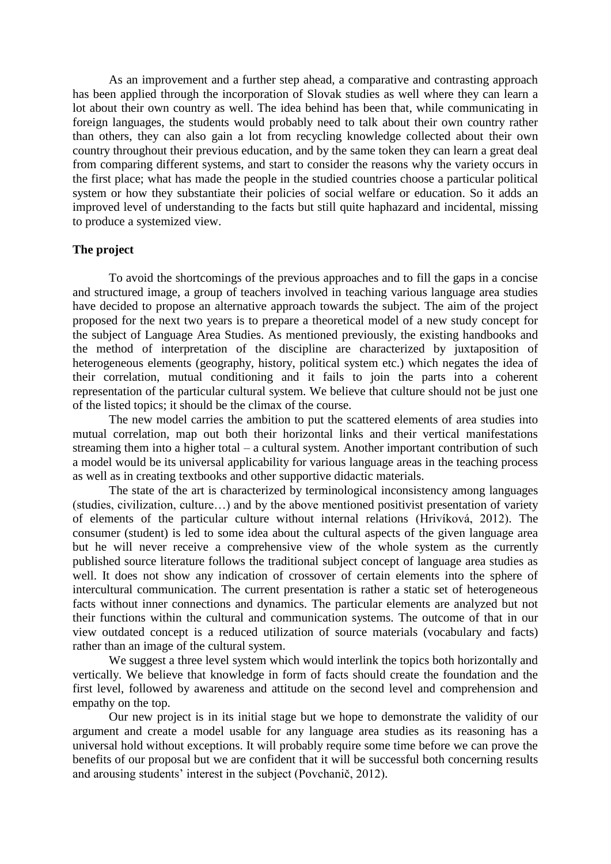As an improvement and a further step ahead, a comparative and contrasting approach has been applied through the incorporation of Slovak studies as well where they can learn a lot about their own country as well. The idea behind has been that, while communicating in foreign languages, the students would probably need to talk about their own country rather than others, they can also gain a lot from recycling knowledge collected about their own country throughout their previous education, and by the same token they can learn a great deal from comparing different systems, and start to consider the reasons why the variety occurs in the first place; what has made the people in the studied countries choose a particular political system or how they substantiate their policies of social welfare or education. So it adds an improved level of understanding to the facts but still quite haphazard and incidental, missing to produce a systemized view.

#### **The project**

To avoid the shortcomings of the previous approaches and to fill the gaps in a concise and structured image, a group of teachers involved in teaching various language area studies have decided to propose an alternative approach towards the subject. The aim of the project proposed for the next two years is to prepare a theoretical model of a new study concept for the subject of Language Area Studies. As mentioned previously, the existing handbooks and the method of interpretation of the discipline are characterized by juxtaposition of heterogeneous elements (geography, history, political system etc.) which negates the idea of their correlation, mutual conditioning and it fails to join the parts into a coherent representation of the particular cultural system. We believe that culture should not be just one of the listed topics; it should be the climax of the course.

The new model carries the ambition to put the scattered elements of area studies into mutual correlation, map out both their horizontal links and their vertical manifestations streaming them into a higher total – a cultural system. Another important contribution of such a model would be its universal applicability for various language areas in the teaching process as well as in creating textbooks and other supportive didactic materials.

The state of the art is characterized by terminological inconsistency among languages (studies, civilization, culture…) and by the above mentioned positivist presentation of variety of elements of the particular culture without internal relations (Hrivíková, 2012). The consumer (student) is led to some idea about the cultural aspects of the given language area but he will never receive a comprehensive view of the whole system as the currently published source literature follows the traditional subject concept of language area studies as well. It does not show any indication of crossover of certain elements into the sphere of intercultural communication. The current presentation is rather a static set of heterogeneous facts without inner connections and dynamics. The particular elements are analyzed but not their functions within the cultural and communication systems. The outcome of that in our view outdated concept is a reduced utilization of source materials (vocabulary and facts) rather than an image of the cultural system.

We suggest a three level system which would interlink the topics both horizontally and vertically. We believe that knowledge in form of facts should create the foundation and the first level, followed by awareness and attitude on the second level and comprehension and empathy on the top.

Our new project is in its initial stage but we hope to demonstrate the validity of our argument and create a model usable for any language area studies as its reasoning has a universal hold without exceptions. It will probably require some time before we can prove the benefits of our proposal but we are confident that it will be successful both concerning results and arousing students' interest in the subject (Povchanič, 2012).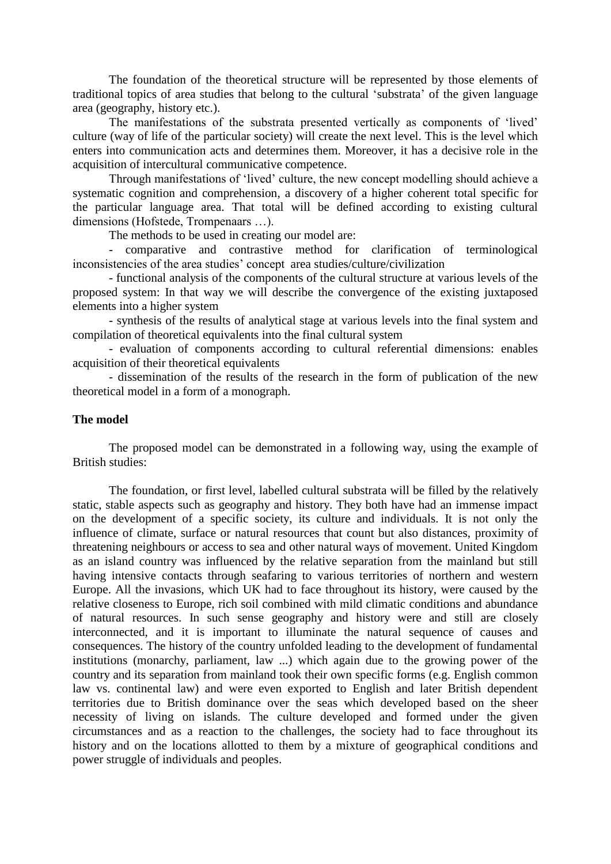The foundation of the theoretical structure will be represented by those elements of traditional topics of area studies that belong to the cultural 'substrata' of the given language area (geography, history etc.).

The manifestations of the substrata presented vertically as components of 'lived' culture (way of life of the particular society) will create the next level. This is the level which enters into communication acts and determines them. Moreover, it has a decisive role in the acquisition of intercultural communicative competence.

Through manifestations of 'lived' culture, the new concept modelling should achieve a systematic cognition and comprehension, a discovery of a higher coherent total specific for the particular language area. That total will be defined according to existing cultural dimensions (Hofstede, Trompenaars …).

The methods to be used in creating our model are:

- comparative and contrastive method for clarification of terminological inconsistencies of the area studies' concept area studies/culture/civilization

- functional analysis of the components of the cultural structure at various levels of the proposed system: In that way we will describe the convergence of the existing juxtaposed elements into a higher system

- synthesis of the results of analytical stage at various levels into the final system and compilation of theoretical equivalents into the final cultural system

- evaluation of components according to cultural referential dimensions: enables acquisition of their theoretical equivalents

- dissemination of the results of the research in the form of publication of the new theoretical model in a form of a monograph.

## **The model**

The proposed model can be demonstrated in a following way, using the example of British studies:

The foundation, or first level, labelled cultural substrata will be filled by the relatively static, stable aspects such as geography and history. They both have had an immense impact on the development of a specific society, its culture and individuals. It is not only the influence of climate, surface or natural resources that count but also distances, proximity of threatening neighbours or access to sea and other natural ways of movement. United Kingdom as an island country was influenced by the relative separation from the mainland but still having intensive contacts through seafaring to various territories of northern and western Europe. All the invasions, which UK had to face throughout its history, were caused by the relative closeness to Europe, rich soil combined with mild climatic conditions and abundance of natural resources. In such sense geography and history were and still are closely interconnected, and it is important to illuminate the natural sequence of causes and consequences. The history of the country unfolded leading to the development of fundamental institutions (monarchy, parliament, law ...) which again due to the growing power of the country and its separation from mainland took their own specific forms (e.g. English common law vs. continental law) and were even exported to English and later British dependent territories due to British dominance over the seas which developed based on the sheer necessity of living on islands. The culture developed and formed under the given circumstances and as a reaction to the challenges, the society had to face throughout its history and on the locations allotted to them by a mixture of geographical conditions and power struggle of individuals and peoples.